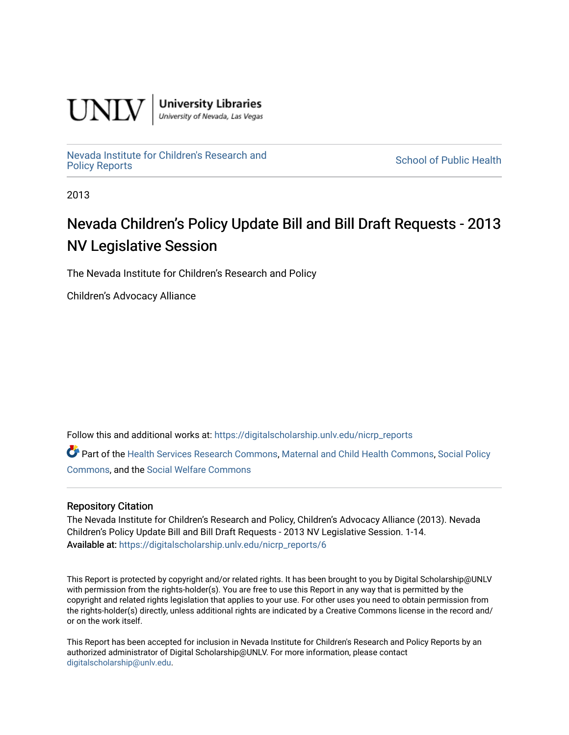

**University Libraries**<br>University of Nevada, Las Vegas

[Nevada Institute for Children's Research and](https://digitalscholarship.unlv.edu/nicrp_reports)

**School of Public Health** 

2013

## Nevada Children's Policy Update Bill and Bill Draft Requests - 2013 NV Legislative Session

The Nevada Institute for Children's Research and Policy

Children's Advocacy Alliance

Follow this and additional works at: [https://digitalscholarship.unlv.edu/nicrp\\_reports](https://digitalscholarship.unlv.edu/nicrp_reports?utm_source=digitalscholarship.unlv.edu%2Fnicrp_reports%2F6&utm_medium=PDF&utm_campaign=PDFCoverPages)

Part of the [Health Services Research Commons,](http://network.bepress.com/hgg/discipline/816?utm_source=digitalscholarship.unlv.edu%2Fnicrp_reports%2F6&utm_medium=PDF&utm_campaign=PDFCoverPages) [Maternal and Child Health Commons](http://network.bepress.com/hgg/discipline/745?utm_source=digitalscholarship.unlv.edu%2Fnicrp_reports%2F6&utm_medium=PDF&utm_campaign=PDFCoverPages), [Social Policy](http://network.bepress.com/hgg/discipline/1030?utm_source=digitalscholarship.unlv.edu%2Fnicrp_reports%2F6&utm_medium=PDF&utm_campaign=PDFCoverPages)  [Commons](http://network.bepress.com/hgg/discipline/1030?utm_source=digitalscholarship.unlv.edu%2Fnicrp_reports%2F6&utm_medium=PDF&utm_campaign=PDFCoverPages), and the [Social Welfare Commons](http://network.bepress.com/hgg/discipline/401?utm_source=digitalscholarship.unlv.edu%2Fnicrp_reports%2F6&utm_medium=PDF&utm_campaign=PDFCoverPages)

## Repository Citation

The Nevada Institute for Children's Research and Policy, Children's Advocacy Alliance (2013). Nevada Children's Policy Update Bill and Bill Draft Requests - 2013 NV Legislative Session. 1-14. Available at: [https://digitalscholarship.unlv.edu/nicrp\\_reports/6](https://digitalscholarship.unlv.edu/nicrp_reports/6)

This Report is protected by copyright and/or related rights. It has been brought to you by Digital Scholarship@UNLV with permission from the rights-holder(s). You are free to use this Report in any way that is permitted by the copyright and related rights legislation that applies to your use. For other uses you need to obtain permission from the rights-holder(s) directly, unless additional rights are indicated by a Creative Commons license in the record and/ or on the work itself.

This Report has been accepted for inclusion in Nevada Institute for Children's Research and Policy Reports by an authorized administrator of Digital Scholarship@UNLV. For more information, please contact [digitalscholarship@unlv.edu](mailto:digitalscholarship@unlv.edu).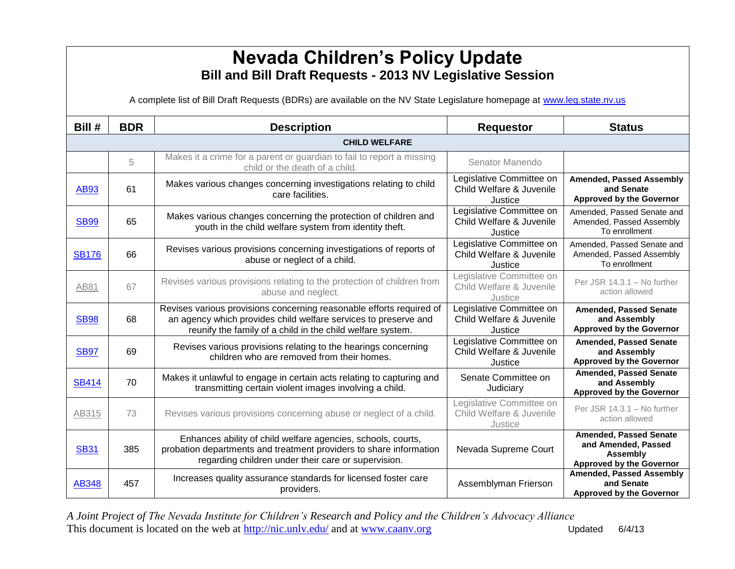## **Nevada Children's Policy Update Bill and Bill Draft Requests - 2013 NV Legislative Session**

A complete list of Bill Draft Requests (BDRs) are available on the NV State Legislature homepage at [www.leg.state.nv.us](http://www.leg.state.nv.us/)

| Bill #       | <b>BDR</b> | <b>Description</b>                                                                                                                                                                                    | <b>Requestor</b>                                                | <b>Status</b>                                                                                              |
|--------------|------------|-------------------------------------------------------------------------------------------------------------------------------------------------------------------------------------------------------|-----------------------------------------------------------------|------------------------------------------------------------------------------------------------------------|
|              |            | <b>CHILD WELFARE</b>                                                                                                                                                                                  |                                                                 |                                                                                                            |
|              | 5          | Makes it a crime for a parent or guardian to fail to report a missing<br>child or the death of a child.                                                                                               | Senator Manendo                                                 |                                                                                                            |
| <b>AB93</b>  | 61         | Makes various changes concerning investigations relating to child<br>care facilities.                                                                                                                 | Legislative Committee on<br>Child Welfare & Juvenile<br>Justice | <b>Amended, Passed Assembly</b><br>and Senate<br><b>Approved by the Governor</b>                           |
| <b>SB99</b>  | 65         | Makes various changes concerning the protection of children and<br>youth in the child welfare system from identity theft.                                                                             | Legislative Committee on<br>Child Welfare & Juvenile<br>Justice | Amended, Passed Senate and<br>Amended, Passed Assembly<br>To enrollment                                    |
| <b>SB176</b> | 66         | Revises various provisions concerning investigations of reports of<br>abuse or neglect of a child.                                                                                                    | Legislative Committee on<br>Child Welfare & Juvenile<br>Justice | Amended, Passed Senate and<br>Amended, Passed Assembly<br>To enrollment                                    |
| AB81         | 67         | Revises various provisions relating to the protection of children from<br>abuse and neglect.                                                                                                          | Legislative Committee on<br>Child Welfare & Juvenile<br>Justice | Per JSR 14.3.1 - No further<br>action allowed                                                              |
| <b>SB98</b>  | 68         | Revises various provisions concerning reasonable efforts required of<br>an agency which provides child welfare services to preserve and<br>reunify the family of a child in the child welfare system. | Legislative Committee on<br>Child Welfare & Juvenile<br>Justice | <b>Amended, Passed Senate</b><br>and Assembly<br><b>Approved by the Governor</b>                           |
| <b>SB97</b>  | 69         | Revises various provisions relating to the hearings concerning<br>children who are removed from their homes.                                                                                          | Legislative Committee on<br>Child Welfare & Juvenile<br>Justice | <b>Amended, Passed Senate</b><br>and Assembly<br><b>Approved by the Governor</b>                           |
| <b>SB414</b> | 70         | Makes it unlawful to engage in certain acts relating to capturing and<br>transmitting certain violent images involving a child.                                                                       | Senate Committee on<br>Judiciary                                | <b>Amended, Passed Senate</b><br>and Assembly<br><b>Approved by the Governor</b>                           |
| AB315        | 73         | Revises various provisions concerning abuse or neglect of a child.                                                                                                                                    | Legislative Committee on<br>Child Welfare & Juvenile<br>Justice | Per JSR 14.3.1 - No further<br>action allowed                                                              |
| <b>SB31</b>  | 385        | Enhances ability of child welfare agencies, schools, courts,<br>probation departments and treatment providers to share information<br>regarding children under their care or supervision.             | Nevada Supreme Court                                            | <b>Amended, Passed Senate</b><br>and Amended, Passed<br><b>Assembly</b><br><b>Approved by the Governor</b> |
| <b>AB348</b> | 457        | Increases quality assurance standards for licensed foster care<br>providers.                                                                                                                          | Assemblyman Frierson                                            | <b>Amended, Passed Assembly</b><br>and Senate<br><b>Approved by the Governor</b>                           |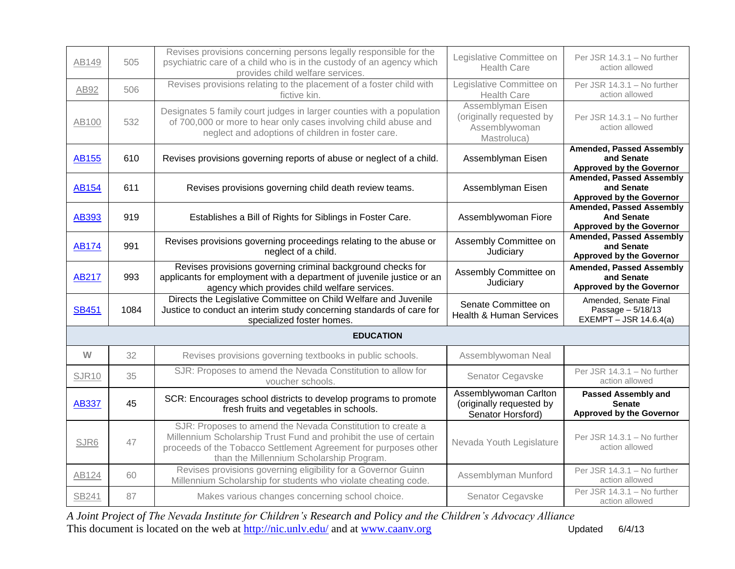| AB149        | 505  | Revises provisions concerning persons legally responsible for the<br>psychiatric care of a child who is in the custody of an agency which<br>provides child welfare services.                      | Legislative Committee on<br><b>Health Care</b>                                | Per JSR 14.3.1 - No further<br>action allowed                                           |
|--------------|------|----------------------------------------------------------------------------------------------------------------------------------------------------------------------------------------------------|-------------------------------------------------------------------------------|-----------------------------------------------------------------------------------------|
| AB92         | 506  | Revises provisions relating to the placement of a foster child with<br>fictive kin.                                                                                                                | Legislative Committee on<br><b>Health Care</b>                                | Per JSR 14.3.1 - No further<br>action allowed                                           |
| AB100        | 532  | Designates 5 family court judges in larger counties with a population<br>of 700,000 or more to hear only cases involving child abuse and<br>neglect and adoptions of children in foster care.      | Assemblyman Eisen<br>(originally requested by<br>Assemblywoman<br>Mastroluca) | Per JSR 14.3.1 - No further<br>action allowed                                           |
| <b>AB155</b> | 610  | Revises provisions governing reports of abuse or neglect of a child.                                                                                                                               | Assemblyman Eisen                                                             | <b>Amended, Passed Assembly</b><br>and Senate<br><b>Approved by the Governor</b>        |
| <b>AB154</b> | 611  | Revises provisions governing child death review teams.                                                                                                                                             | Assemblyman Eisen                                                             | <b>Amended, Passed Assembly</b><br>and Senate<br><b>Approved by the Governor</b>        |
| AB393        | 919  | Establishes a Bill of Rights for Siblings in Foster Care.                                                                                                                                          | Assemblywoman Fiore                                                           | <b>Amended, Passed Assembly</b><br><b>And Senate</b><br><b>Approved by the Governor</b> |
| <b>AB174</b> | 991  | Revises provisions governing proceedings relating to the abuse or<br>neglect of a child.                                                                                                           | Assembly Committee on<br>Judiciary                                            | <b>Amended, Passed Assembly</b><br>and Senate<br><b>Approved by the Governor</b>        |
| <b>AB217</b> | 993  | Revises provisions governing criminal background checks for<br>applicants for employment with a department of juvenile justice or an<br>agency which provides child welfare services.              | Assembly Committee on<br>Judiciary                                            | <b>Amended, Passed Assembly</b><br>and Senate<br><b>Approved by the Governor</b>        |
| <b>SB451</b> | 1084 | Directs the Legislative Committee on Child Welfare and Juvenile<br>Justice to conduct an interim study concerning standards of care for<br>specialized foster homes.                               | Senate Committee on<br><b>Health &amp; Human Services</b>                     | Amended, Senate Final<br>Passage - 5/18/13<br>EXEMPT - JSR 14.6.4(a)                    |
|              |      | <b>EDUCATION</b>                                                                                                                                                                                   |                                                                               |                                                                                         |
| W            | 32   | Revises provisions governing textbooks in public schools.                                                                                                                                          | Assemblywoman Neal                                                            |                                                                                         |
| <b>SJR10</b> | 35   | SJR: Proposes to amend the Nevada Constitution to allow for<br>voucher schools.                                                                                                                    | Senator Cegavske                                                              | Per JSR 14.3.1 - No further<br>action allowed                                           |
| <b>AB337</b> | 45   | SCR: Encourages school districts to develop programs to promote<br>fresh fruits and vegetables in schools.                                                                                         | Assemblywoman Carlton<br>(originally requested by<br>Senator Horsford)        | <b>Passed Assembly and</b><br><b>Senate</b><br><b>Approved by the Governor</b>          |
| SJR6         | 47   | SJR: Proposes to amend the Nevada Constitution to create a<br>Millennium Scholarship Trust Fund and prohibit the use of certain<br>proceeds of the Tobacco Settlement Agreement for purposes other | Nevada Youth Legislature                                                      | Per JSR 14.3.1 - No further<br>action allowed                                           |
|              |      | than the Millennium Scholarship Program.                                                                                                                                                           |                                                                               |                                                                                         |
| AB124        | 60   | Revises provisions governing eligibility for a Governor Guinn<br>Millennium Scholarship for students who violate cheating code.                                                                    | Assemblyman Munford                                                           | Per JSR 14.3.1 - No further<br>action allowed<br>Per JSR 14.3.1 - No further            |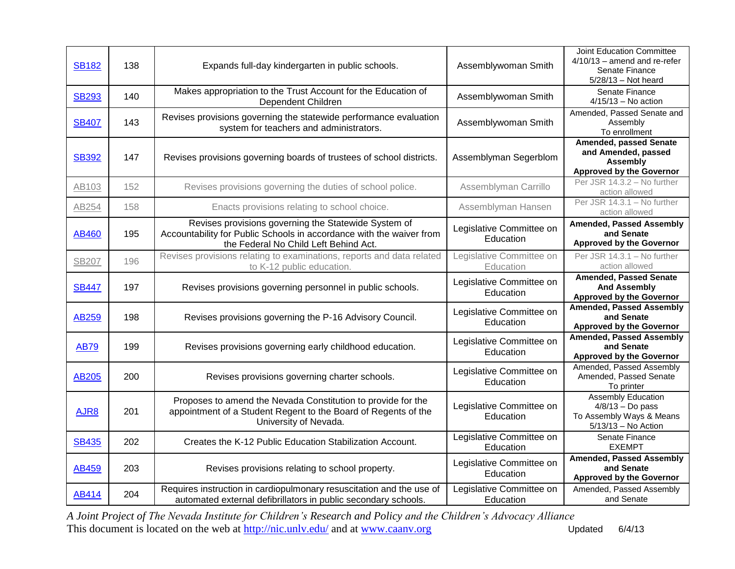| <b>SB182</b> | 138 | Expands full-day kindergarten in public schools.                                                                                                                      | Assemblywoman Smith                   | <b>Joint Education Committee</b><br>$4/10/13$ – amend and re-refer<br>Senate Finance<br>$5/28/13$ - Not heard |
|--------------|-----|-----------------------------------------------------------------------------------------------------------------------------------------------------------------------|---------------------------------------|---------------------------------------------------------------------------------------------------------------|
| <b>SB293</b> | 140 | Makes appropriation to the Trust Account for the Education of<br>Dependent Children                                                                                   | Assemblywoman Smith                   | Senate Finance<br>$4/15/13$ - No action                                                                       |
| <b>SB407</b> | 143 | Revises provisions governing the statewide performance evaluation<br>system for teachers and administrators.                                                          | Assemblywoman Smith                   | Amended, Passed Senate and<br>Assembly<br>To enrollment                                                       |
| <b>SB392</b> | 147 | Revises provisions governing boards of trustees of school districts.                                                                                                  | Assemblyman Segerblom                 | <b>Amended, passed Senate</b><br>and Amended, passed<br>Assembly<br><b>Approved by the Governor</b>           |
| AB103        | 152 | Revises provisions governing the duties of school police.                                                                                                             | Assemblyman Carrillo                  | Per JSR 14.3.2 - No further<br>action allowed                                                                 |
| AB254        | 158 | Enacts provisions relating to school choice.                                                                                                                          | Assemblyman Hansen                    | Per JSR 14.3.1 - No further<br>action allowed                                                                 |
| AB460        | 195 | Revises provisions governing the Statewide System of<br>Accountability for Public Schools in accordance with the waiver from<br>the Federal No Child Left Behind Act. | Legislative Committee on<br>Education | <b>Amended, Passed Assembly</b><br>and Senate<br><b>Approved by the Governor</b>                              |
| <b>SB207</b> | 196 | Revises provisions relating to examinations, reports and data related<br>to K-12 public education.                                                                    | Legislative Committee on<br>Education | Per JSR 14.3.1 - No further<br>action allowed                                                                 |
| <b>SB447</b> | 197 | Revises provisions governing personnel in public schools.                                                                                                             | Legislative Committee on<br>Education | <b>Amended, Passed Senate</b><br><b>And Assembly</b><br><b>Approved by the Governor</b>                       |
| <b>AB259</b> | 198 | Revises provisions governing the P-16 Advisory Council.                                                                                                               | Legislative Committee on<br>Education | <b>Amended, Passed Assembly</b><br>and Senate<br><b>Approved by the Governor</b>                              |
| <b>AB79</b>  | 199 | Revises provisions governing early childhood education.                                                                                                               | Legislative Committee on<br>Education | <b>Amended, Passed Assembly</b><br>and Senate<br><b>Approved by the Governor</b>                              |
| AB205        | 200 | Revises provisions governing charter schools.                                                                                                                         | Legislative Committee on<br>Education | Amended, Passed Assembly<br>Amended, Passed Senate<br>To printer                                              |
| AJR8         | 201 | Proposes to amend the Nevada Constitution to provide for the<br>appointment of a Student Regent to the Board of Regents of the<br>University of Nevada.               | Legislative Committee on<br>Education | <b>Assembly Education</b><br>$4/8/13 - Do$ pass<br>To Assembly Ways & Means<br>$5/13/13$ – No Action          |
| <b>SB435</b> | 202 | Creates the K-12 Public Education Stabilization Account.                                                                                                              | Legislative Committee on<br>Education | Senate Finance<br><b>EXEMPT</b>                                                                               |
| AB459        | 203 | Revises provisions relating to school property.                                                                                                                       | Legislative Committee on<br>Education | <b>Amended, Passed Assembly</b><br>and Senate<br><b>Approved by the Governor</b>                              |
| AB414        | 204 | Requires instruction in cardiopulmonary resuscitation and the use of<br>automated external defibrillators in public secondary schools.                                | Legislative Committee on<br>Education | Amended, Passed Assembly<br>and Senate                                                                        |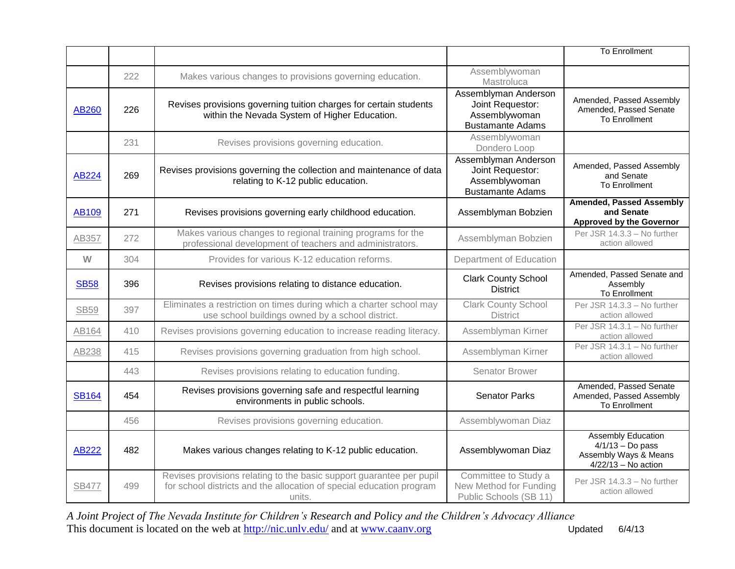|              |     |                                                                                                                                                        |                                                                                      | <b>To Enrollment</b>                                                                       |
|--------------|-----|--------------------------------------------------------------------------------------------------------------------------------------------------------|--------------------------------------------------------------------------------------|--------------------------------------------------------------------------------------------|
|              | 222 | Makes various changes to provisions governing education.                                                                                               | Assemblywoman<br>Mastroluca                                                          |                                                                                            |
| AB260        | 226 | Revises provisions governing tuition charges for certain students<br>within the Nevada System of Higher Education.                                     | Assemblyman Anderson<br>Joint Requestor:<br>Assemblywoman<br><b>Bustamante Adams</b> | Amended, Passed Assembly<br>Amended, Passed Senate<br><b>To Enrollment</b>                 |
|              | 231 | Revises provisions governing education.                                                                                                                | Assemblywoman<br>Dondero Loop                                                        |                                                                                            |
| AB224        | 269 | Revises provisions governing the collection and maintenance of data<br>relating to K-12 public education.                                              | Assemblyman Anderson<br>Joint Requestor:<br>Assemblywoman<br><b>Bustamante Adams</b> | Amended, Passed Assembly<br>and Senate<br>To Enrollment                                    |
| <b>AB109</b> | 271 | Revises provisions governing early childhood education.                                                                                                | Assemblyman Bobzien                                                                  | <b>Amended, Passed Assembly</b><br>and Senate<br><b>Approved by the Governor</b>           |
| AB357        | 272 | Makes various changes to regional training programs for the<br>professional development of teachers and administrators.                                | Assemblyman Bobzien                                                                  | Per JSR 14.3.3 - No further<br>action allowed                                              |
| W            | 304 | Provides for various K-12 education reforms.                                                                                                           | Department of Education                                                              |                                                                                            |
| <b>SB58</b>  | 396 | Revises provisions relating to distance education.                                                                                                     | <b>Clark County School</b><br><b>District</b>                                        | Amended, Passed Senate and<br>Assembly<br>To Enrollment                                    |
| <b>SB59</b>  | 397 | Eliminates a restriction on times during which a charter school may<br>use school buildings owned by a school district.                                | <b>Clark County School</b><br><b>District</b>                                        | Per JSR 14.3.3 - No further<br>action allowed                                              |
| AB164        | 410 | Revises provisions governing education to increase reading literacy.                                                                                   | Assemblyman Kirner                                                                   | Per JSR 14.3.1 - No further<br>action allowed                                              |
| AB238        | 415 | Revises provisions governing graduation from high school.                                                                                              | Assemblyman Kirner                                                                   | Per JSR 14.3.1 - No further<br>action allowed                                              |
|              | 443 | Revises provisions relating to education funding.                                                                                                      | Senator Brower                                                                       |                                                                                            |
| <b>SB164</b> | 454 | Revises provisions governing safe and respectful learning<br>environments in public schools.                                                           | <b>Senator Parks</b>                                                                 | Amended, Passed Senate<br>Amended, Passed Assembly<br>To Enrollment                        |
|              | 456 | Revises provisions governing education.                                                                                                                | Assemblywoman Diaz                                                                   |                                                                                            |
| <b>AB222</b> | 482 | Makes various changes relating to K-12 public education.                                                                                               | Assemblywoman Diaz                                                                   | Assembly Education<br>$4/1/13 - Do$ pass<br>Assembly Ways & Means<br>$4/22/13$ - No action |
| <b>SB477</b> | 499 | Revises provisions relating to the basic support guarantee per pupil<br>for school districts and the allocation of special education program<br>units. | Committee to Study a<br>New Method for Funding<br>Public Schools (SB 11)             | Per JSR 14.3.3 - No further<br>action allowed                                              |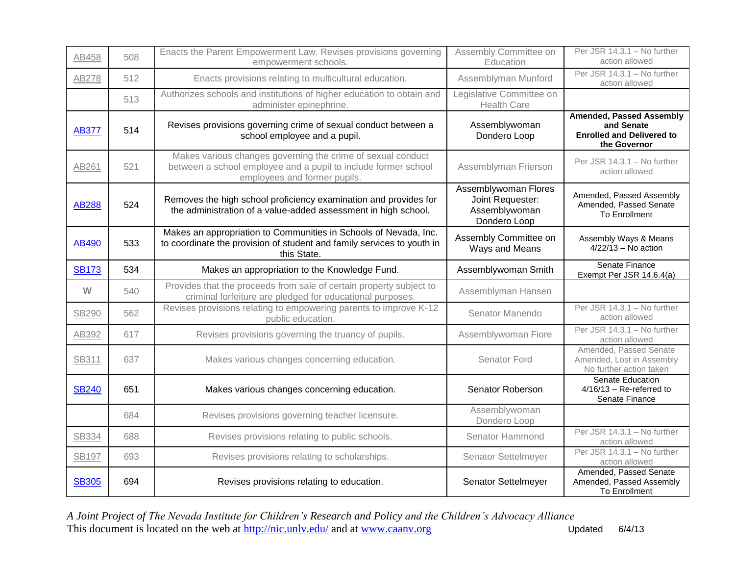| AB458        | 508 | Enacts the Parent Empowerment Law. Revises provisions governing<br>empowerment schools.                                                                       | Assembly Committee on<br>Education                                        | Per JSR 14.3.1 - No further<br>action allowed                                                     |
|--------------|-----|---------------------------------------------------------------------------------------------------------------------------------------------------------------|---------------------------------------------------------------------------|---------------------------------------------------------------------------------------------------|
| AB278        | 512 | Enacts provisions relating to multicultural education.                                                                                                        | Assemblyman Munford                                                       | Per JSR 14.3.1 - No further<br>action allowed                                                     |
|              | 513 | Authorizes schools and institutions of higher education to obtain and<br>administer epinephrine.                                                              | Legislative Committee on<br><b>Health Care</b>                            |                                                                                                   |
| <b>AB377</b> | 514 | Revises provisions governing crime of sexual conduct between a<br>school employee and a pupil.                                                                | Assemblywoman<br>Dondero Loop                                             | <b>Amended, Passed Assembly</b><br>and Senate<br><b>Enrolled and Delivered to</b><br>the Governor |
| AB261        | 521 | Makes various changes governing the crime of sexual conduct<br>between a school employee and a pupil to include former school<br>employees and former pupils. | Assemblyman Frierson                                                      | Per JSR 14.3.1 - No further<br>action allowed                                                     |
| <b>AB288</b> | 524 | Removes the high school proficiency examination and provides for<br>the administration of a value-added assessment in high school.                            | Assemblywoman Flores<br>Joint Requester:<br>Assemblywoman<br>Dondero Loop | Amended, Passed Assembly<br>Amended, Passed Senate<br><b>To Enrollment</b>                        |
| AB490        | 533 | Makes an appropriation to Communities in Schools of Nevada, Inc.<br>to coordinate the provision of student and family services to youth in<br>this State.     | Assembly Committee on<br>Ways and Means                                   | Assembly Ways & Means<br>$4/22/13$ – No action                                                    |
| <b>SB173</b> | 534 | Makes an appropriation to the Knowledge Fund.                                                                                                                 | Assemblywoman Smith                                                       | Senate Finance<br>Exempt Per JSR 14.6.4(a)                                                        |
| W            | 540 | Provides that the proceeds from sale of certain property subject to<br>criminal forfeiture are pledged for educational purposes.                              | Assemblyman Hansen                                                        |                                                                                                   |
| SB290        | 562 | Revises provisions relating to empowering parents to improve K-12<br>public education.                                                                        | Senator Manendo                                                           | Per JSR 14.3.1 - No further<br>action allowed                                                     |
| AB392        | 617 | Revises provisions governing the truancy of pupils.                                                                                                           | Assemblywoman Fiore                                                       | Per JSR 14.3.1 - No further<br>action allowed                                                     |
| SB311        | 637 | Makes various changes concerning education.                                                                                                                   | Senator Ford                                                              | Amended, Passed Senate<br>Amended, Lost in Assembly<br>No further action taken                    |
| <b>SB240</b> | 651 | Makes various changes concerning education.                                                                                                                   | Senator Roberson                                                          | Senate Education<br>$4/16/13$ - Re-referred to<br>Senate Finance                                  |
|              | 684 | Revises provisions governing teacher licensure.                                                                                                               | Assemblywoman<br>Dondero Loop                                             |                                                                                                   |
| SB334        | 688 | Revises provisions relating to public schools.                                                                                                                | Senator Hammond                                                           | Per JSR 14.3.1 - No further<br>action allowed                                                     |
| <b>SB197</b> | 693 | Revises provisions relating to scholarships.                                                                                                                  | Senator Settelmeyer                                                       | Per JSR 14.3.1 - No further<br>action allowed                                                     |
| <b>SB305</b> | 694 | Revises provisions relating to education.                                                                                                                     | Senator Settelmeyer                                                       | Amended, Passed Senate<br>Amended, Passed Assembly<br><b>To Enrollment</b>                        |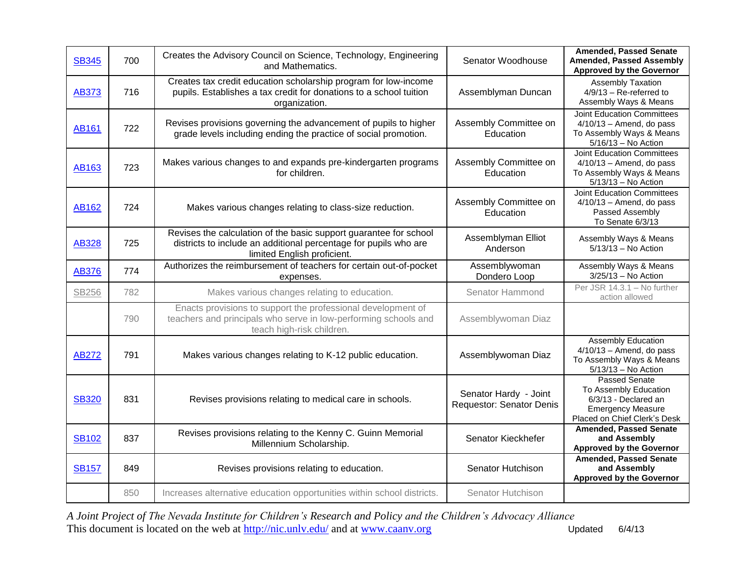| <b>SB345</b> | 700 | Creates the Advisory Council on Science, Technology, Engineering<br>and Mathematics.                                                                                 | Senator Woodhouse                                 | <b>Amended, Passed Senate</b><br>Amended, Passed Assembly<br><b>Approved by the Governor</b>                               |
|--------------|-----|----------------------------------------------------------------------------------------------------------------------------------------------------------------------|---------------------------------------------------|----------------------------------------------------------------------------------------------------------------------------|
| <b>AB373</b> | 716 | Creates tax credit education scholarship program for low-income<br>pupils. Establishes a tax credit for donations to a school tuition<br>organization.               | Assemblyman Duncan                                | <b>Assembly Taxation</b><br>$4/9/13$ – Re-referred to<br>Assembly Ways & Means                                             |
| <b>AB161</b> | 722 | Revises provisions governing the advancement of pupils to higher<br>grade levels including ending the practice of social promotion.                                  | Assembly Committee on<br>Education                | <b>Joint Education Committees</b><br>$4/10/13$ – Amend, do pass<br>To Assembly Ways & Means<br>$5/16/13$ – No Action       |
| AB163        | 723 | Makes various changes to and expands pre-kindergarten programs<br>for children.                                                                                      | Assembly Committee on<br>Education                | <b>Joint Education Committees</b><br>$4/10/13$ - Amend, do pass<br>To Assembly Ways & Means<br>5/13/13 - No Action         |
| AB162        | 724 | Makes various changes relating to class-size reduction.                                                                                                              | Assembly Committee on<br>Education                | <b>Joint Education Committees</b><br>$4/10/13$ - Amend, do pass<br>Passed Assembly<br>To Senate 6/3/13                     |
| <b>AB328</b> | 725 | Revises the calculation of the basic support guarantee for school<br>districts to include an additional percentage for pupils who are<br>limited English proficient. | Assemblyman Elliot<br>Anderson                    | Assembly Ways & Means<br>$5/13/13$ - No Action                                                                             |
| <b>AB376</b> | 774 | Authorizes the reimbursement of teachers for certain out-of-pocket<br>expenses.                                                                                      | Assemblywoman<br>Dondero Loop                     | Assembly Ways & Means<br>$3/25/13$ - No Action                                                                             |
|              |     |                                                                                                                                                                      |                                                   |                                                                                                                            |
| <b>SB256</b> | 782 | Makes various changes relating to education.                                                                                                                         | Senator Hammond                                   | Per JSR 14.3.1 - No further<br>action allowed                                                                              |
|              | 790 | Enacts provisions to support the professional development of<br>teachers and principals who serve in low-performing schools and<br>teach high-risk children.         | Assemblywoman Diaz                                |                                                                                                                            |
| <b>AB272</b> | 791 | Makes various changes relating to K-12 public education.                                                                                                             | Assemblywoman Diaz                                | <b>Assembly Education</b><br>$4/10/13$ - Amend, do pass<br>To Assembly Ways & Means<br>5/13/13 - No Action                 |
| <b>SB320</b> | 831 | Revises provisions relating to medical care in schools.                                                                                                              | Senator Hardy - Joint<br>Requestor: Senator Denis | Passed Senate<br>To Assembly Education<br>6/3/13 - Declared an<br><b>Emergency Measure</b><br>Placed on Chief Clerk's Desk |
| <b>SB102</b> | 837 | Revises provisions relating to the Kenny C. Guinn Memorial<br>Millennium Scholarship.                                                                                | Senator Kieckhefer                                | <b>Amended, Passed Senate</b><br>and Assembly<br><b>Approved by the Governor</b>                                           |
| <b>SB157</b> | 849 | Revises provisions relating to education.                                                                                                                            | Senator Hutchison                                 | <b>Amended, Passed Senate</b><br>and Assembly<br><b>Approved by the Governor</b>                                           |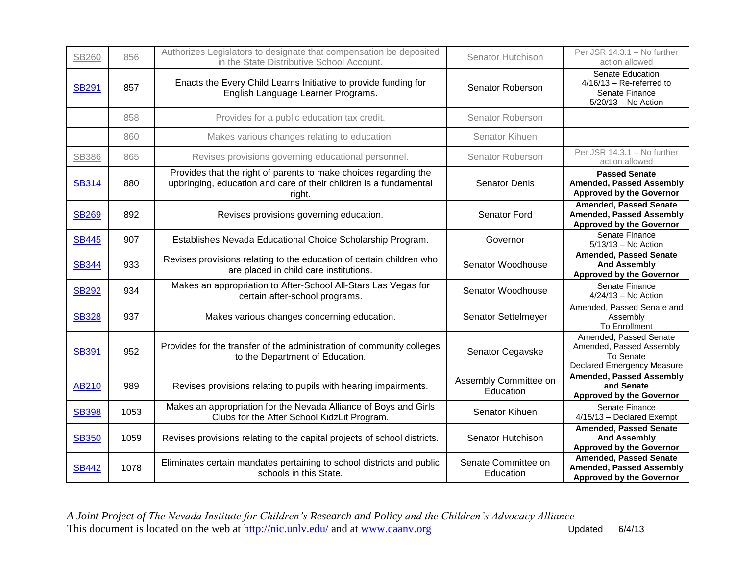| <b>SB260</b> | 856  | Authorizes Legislators to designate that compensation be deposited<br>in the State Distributive School Account.                                 | Senator Hutchison                  | Per JSR 14.3.1 - No further<br>action allowed                                                       |
|--------------|------|-------------------------------------------------------------------------------------------------------------------------------------------------|------------------------------------|-----------------------------------------------------------------------------------------------------|
| <b>SB291</b> | 857  | Enacts the Every Child Learns Initiative to provide funding for<br>English Language Learner Programs.                                           | Senator Roberson                   | Senate Education<br>$4/16/13$ – Re-referred to<br>Senate Finance<br>5/20/13 - No Action             |
|              | 858  | Provides for a public education tax credit.                                                                                                     | Senator Roberson                   |                                                                                                     |
|              | 860  | Makes various changes relating to education.                                                                                                    | Senator Kihuen                     |                                                                                                     |
| <b>SB386</b> | 865  | Revises provisions governing educational personnel.                                                                                             | Senator Roberson                   | Per JSR 14.3.1 - No further<br>action allowed                                                       |
| <b>SB314</b> | 880  | Provides that the right of parents to make choices regarding the<br>upbringing, education and care of their children is a fundamental<br>right. | <b>Senator Denis</b>               | <b>Passed Senate</b><br><b>Amended, Passed Assembly</b><br><b>Approved by the Governor</b>          |
| <b>SB269</b> | 892  | Revises provisions governing education.                                                                                                         | <b>Senator Ford</b>                | <b>Amended, Passed Senate</b><br><b>Amended, Passed Assembly</b><br><b>Approved by the Governor</b> |
| <b>SB445</b> | 907  | Establishes Nevada Educational Choice Scholarship Program.                                                                                      | Governor                           | Senate Finance<br>$5/13/13$ - No Action                                                             |
| <b>SB344</b> | 933  | Revises provisions relating to the education of certain children who<br>are placed in child care institutions.                                  | Senator Woodhouse                  | <b>Amended, Passed Senate</b><br><b>And Assembly</b><br><b>Approved by the Governor</b>             |
| <b>SB292</b> | 934  | Makes an appropriation to After-School All-Stars Las Vegas for<br>certain after-school programs.                                                | Senator Woodhouse                  | Senate Finance<br>$4/24/13$ – No Action                                                             |
| <b>SB328</b> | 937  | Makes various changes concerning education.                                                                                                     | Senator Settelmeyer                | Amended, Passed Senate and<br>Assembly<br><b>To Enrollment</b>                                      |
| <b>SB391</b> | 952  | Provides for the transfer of the administration of community colleges<br>to the Department of Education.                                        | Senator Cegavske                   | Amended, Passed Senate<br>Amended, Passed Assembly<br>To Senate<br>Declared Emergency Measure       |
| AB210        | 989  | Revises provisions relating to pupils with hearing impairments.                                                                                 | Assembly Committee on<br>Education | <b>Amended, Passed Assembly</b><br>and Senate<br><b>Approved by the Governor</b>                    |
| <b>SB398</b> | 1053 | Makes an appropriation for the Nevada Alliance of Boys and Girls<br>Clubs for the After School KidzLit Program.                                 | Senator Kihuen                     | Senate Finance<br>4/15/13 - Declared Exempt                                                         |
| <b>SB350</b> | 1059 | Revises provisions relating to the capital projects of school districts.                                                                        | Senator Hutchison                  | <b>Amended, Passed Senate</b><br><b>And Assembly</b><br><b>Approved by the Governor</b>             |
| <b>SB442</b> | 1078 | Eliminates certain mandates pertaining to school districts and public<br>schools in this State.                                                 | Senate Committee on<br>Education   | <b>Amended, Passed Senate</b><br><b>Amended, Passed Assembly</b><br><b>Approved by the Governor</b> |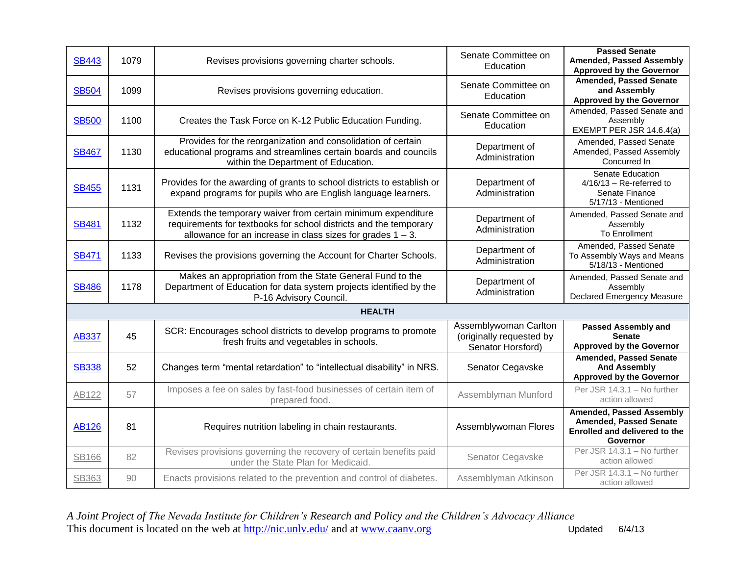| <b>SB443</b> | 1079 | Revises provisions governing charter schools.                                                                                                                                                       | Senate Committee on<br>Education                                       | <b>Passed Senate</b><br>Amended, Passed Assembly<br><b>Approved by the Governor</b>                           |
|--------------|------|-----------------------------------------------------------------------------------------------------------------------------------------------------------------------------------------------------|------------------------------------------------------------------------|---------------------------------------------------------------------------------------------------------------|
| <b>SB504</b> | 1099 | Revises provisions governing education.                                                                                                                                                             | Senate Committee on<br>Education                                       | <b>Amended, Passed Senate</b><br>and Assembly<br><b>Approved by the Governor</b>                              |
| <b>SB500</b> | 1100 | Creates the Task Force on K-12 Public Education Funding.                                                                                                                                            | Senate Committee on<br>Education                                       | Amended, Passed Senate and<br>Assembly<br>EXEMPT PER JSR 14.6.4(a)                                            |
| <b>SB467</b> | 1130 | Provides for the reorganization and consolidation of certain<br>educational programs and streamlines certain boards and councils<br>within the Department of Education.                             | Department of<br>Administration                                        | Amended, Passed Senate<br>Amended, Passed Assembly<br>Concurred In                                            |
| <b>SB455</b> | 1131 | Provides for the awarding of grants to school districts to establish or<br>expand programs for pupils who are English language learners.                                                            | Department of<br>Administration                                        | <b>Senate Education</b><br>$4/16/13$ - Re-referred to<br>Senate Finance<br>5/17/13 - Mentioned                |
| <b>SB481</b> | 1132 | Extends the temporary waiver from certain minimum expenditure<br>requirements for textbooks for school districts and the temporary<br>allowance for an increase in class sizes for grades $1 - 3$ . | Department of<br>Administration                                        | Amended, Passed Senate and<br>Assembly<br><b>To Enrollment</b>                                                |
| <b>SB471</b> | 1133 | Revises the provisions governing the Account for Charter Schools.                                                                                                                                   | Department of<br>Administration                                        | Amended, Passed Senate<br>To Assembly Ways and Means<br>5/18/13 - Mentioned                                   |
| <b>SB486</b> | 1178 | Makes an appropriation from the State General Fund to the<br>Department of Education for data system projects identified by the<br>P-16 Advisory Council.                                           | Department of<br>Administration                                        | Amended, Passed Senate and<br>Assembly<br><b>Declared Emergency Measure</b>                                   |
|              |      | <b>HEALTH</b>                                                                                                                                                                                       |                                                                        |                                                                                                               |
| <b>AB337</b> | 45   | SCR: Encourages school districts to develop programs to promote<br>fresh fruits and vegetables in schools.                                                                                          | Assemblywoman Carlton<br>(originally requested by<br>Senator Horsford) | <b>Passed Assembly and</b><br><b>Senate</b><br><b>Approved by the Governor</b>                                |
| <b>SB338</b> | 52   | Changes term "mental retardation" to "intellectual disability" in NRS.                                                                                                                              | Senator Cegavske                                                       | <b>Amended, Passed Senate</b><br><b>And Assembly</b><br><b>Approved by the Governor</b>                       |
| AB122        | 57   | Imposes a fee on sales by fast-food businesses of certain item of<br>prepared food.                                                                                                                 | Assemblyman Munford                                                    | Per JSR 14.3.1 - No further<br>action allowed                                                                 |
| <b>AB126</b> | 81   | Requires nutrition labeling in chain restaurants.                                                                                                                                                   | Assemblywoman Flores                                                   | <b>Amended, Passed Assembly</b><br><b>Amended, Passed Senate</b><br>Enrolled and delivered to the<br>Governor |
| <b>SB166</b> | 82   | Revises provisions governing the recovery of certain benefits paid<br>under the State Plan for Medicaid.                                                                                            | Senator Cegavske                                                       | Per JSR 14.3.1 - No further<br>action allowed                                                                 |
| <b>SB363</b> | 90   | Enacts provisions related to the prevention and control of diabetes.                                                                                                                                | Assemblyman Atkinson                                                   | Per JSR 14.3.1 - No further<br>action allowed                                                                 |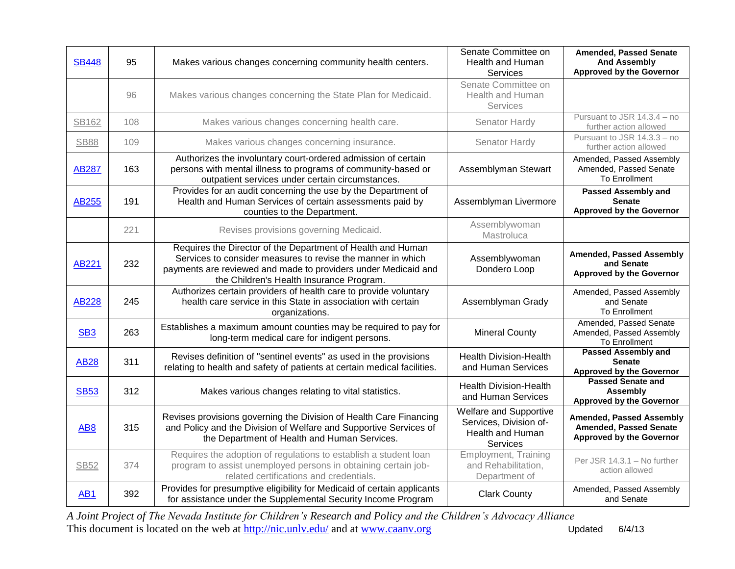| <b>SB448</b>    | 95  | Makes various changes concerning community health centers.                                                                                                                                                                               | Senate Committee on<br>Health and Human<br>Services                              | <b>Amended, Passed Senate</b><br><b>And Assembly</b><br><b>Approved by the Governor</b>             |
|-----------------|-----|------------------------------------------------------------------------------------------------------------------------------------------------------------------------------------------------------------------------------------------|----------------------------------------------------------------------------------|-----------------------------------------------------------------------------------------------------|
|                 | 96  | Makes various changes concerning the State Plan for Medicaid.                                                                                                                                                                            | Senate Committee on<br>Health and Human<br>Services                              |                                                                                                     |
| SB162           | 108 | Makes various changes concerning health care.                                                                                                                                                                                            | Senator Hardy                                                                    | Pursuant to JSR 14.3.4 - no<br>further action allowed                                               |
| <b>SB88</b>     | 109 | Makes various changes concerning insurance.                                                                                                                                                                                              | Senator Hardy                                                                    | Pursuant to JSR 14.3.3 - no<br>further action allowed                                               |
| <b>AB287</b>    | 163 | Authorizes the involuntary court-ordered admission of certain<br>persons with mental illness to programs of community-based or<br>outpatient services under certain circumstances.                                                       | Assemblyman Stewart                                                              | Amended, Passed Assembly<br>Amended, Passed Senate<br><b>To Enrollment</b>                          |
| AB255           | 191 | Provides for an audit concerning the use by the Department of<br>Health and Human Services of certain assessments paid by<br>counties to the Department.                                                                                 | Assemblyman Livermore                                                            | Passed Assembly and<br><b>Senate</b><br><b>Approved by the Governor</b>                             |
|                 | 221 | Revises provisions governing Medicaid.                                                                                                                                                                                                   | Assemblywoman<br>Mastroluca                                                      |                                                                                                     |
| <b>AB221</b>    | 232 | Requires the Director of the Department of Health and Human<br>Services to consider measures to revise the manner in which<br>payments are reviewed and made to providers under Medicaid and<br>the Children's Health Insurance Program. | Assemblywoman<br>Dondero Loop                                                    | <b>Amended, Passed Assembly</b><br>and Senate<br><b>Approved by the Governor</b>                    |
| <b>AB228</b>    | 245 | Authorizes certain providers of health care to provide voluntary<br>health care service in this State in association with certain<br>organizations.                                                                                      | Assemblyman Grady                                                                | Amended, Passed Assembly<br>and Senate<br><b>To Enrollment</b>                                      |
| SB <sub>3</sub> | 263 | Establishes a maximum amount counties may be required to pay for<br>long-term medical care for indigent persons.                                                                                                                         | <b>Mineral County</b>                                                            | Amended, Passed Senate<br>Amended, Passed Assembly<br>To Enrollment                                 |
| <b>AB28</b>     | 311 | Revises definition of "sentinel events" as used in the provisions<br>relating to health and safety of patients at certain medical facilities.                                                                                            | <b>Health Division-Health</b><br>and Human Services                              | <b>Passed Assembly and</b><br><b>Senate</b><br><b>Approved by the Governor</b>                      |
| <b>SB53</b>     | 312 | Makes various changes relating to vital statistics.                                                                                                                                                                                      | <b>Health Division-Health</b><br>and Human Services                              | <b>Passed Senate and</b><br><b>Assembly</b><br><b>Approved by the Governor</b>                      |
| AB <sub>8</sub> | 315 | Revises provisions governing the Division of Health Care Financing<br>and Policy and the Division of Welfare and Supportive Services of<br>the Department of Health and Human Services.                                                  | Welfare and Supportive<br>Services, Division of-<br>Health and Human<br>Services | <b>Amended, Passed Assembly</b><br><b>Amended, Passed Senate</b><br><b>Approved by the Governor</b> |
| <b>SB52</b>     | 374 | Requires the adoption of regulations to establish a student loan<br>program to assist unemployed persons in obtaining certain job-<br>related certifications and credentials.                                                            | <b>Employment, Training</b><br>and Rehabilitation,<br>Department of              | Per JSR 14.3.1 - No further<br>action allowed                                                       |
| <b>AB1</b>      | 392 | Provides for presumptive eligibility for Medicaid of certain applicants<br>for assistance under the Supplemental Security Income Program                                                                                                 | <b>Clark County</b>                                                              | Amended, Passed Assembly<br>and Senate                                                              |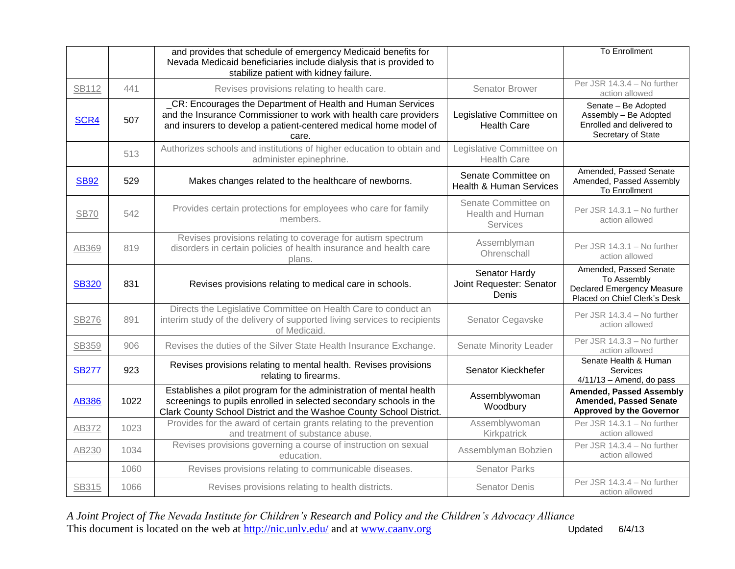|              |      | and provides that schedule of emergency Medicaid benefits for<br>Nevada Medicaid beneficiaries include dialysis that is provided to<br>stabilize patient with kidney failure.                                    |                                                           | <b>To Enrollment</b>                                                                                       |
|--------------|------|------------------------------------------------------------------------------------------------------------------------------------------------------------------------------------------------------------------|-----------------------------------------------------------|------------------------------------------------------------------------------------------------------------|
| <b>SB112</b> | 441  | Revises provisions relating to health care.                                                                                                                                                                      | <b>Senator Brower</b>                                     | Per JSR 14.3.4 - No further<br>action allowed                                                              |
| SCR4         | 507  | _CR: Encourages the Department of Health and Human Services<br>and the Insurance Commissioner to work with health care providers<br>and insurers to develop a patient-centered medical home model of<br>care.    | Legislative Committee on<br><b>Health Care</b>            | Senate - Be Adopted<br>Assembly - Be Adopted<br>Enrolled and delivered to<br>Secretary of State            |
|              | 513  | Authorizes schools and institutions of higher education to obtain and<br>administer epinephrine.                                                                                                                 | Legislative Committee on<br><b>Health Care</b>            |                                                                                                            |
| <b>SB92</b>  | 529  | Makes changes related to the healthcare of newborns.                                                                                                                                                             | Senate Committee on<br><b>Health &amp; Human Services</b> | Amended, Passed Senate<br>Amended, Passed Assembly<br>To Enrollment                                        |
| <b>SB70</b>  | 542  | Provides certain protections for employees who care for family<br>members.                                                                                                                                       | Senate Committee on<br>Health and Human<br>Services       | Per JSR 14.3.1 - No further<br>action allowed                                                              |
| AB369        | 819  | Revises provisions relating to coverage for autism spectrum<br>disorders in certain policies of health insurance and health care<br>plans.                                                                       | Assemblyman<br>Ohrenschall                                | Per JSR 14.3.1 - No further<br>action allowed                                                              |
| <b>SB320</b> | 831  | Revises provisions relating to medical care in schools.                                                                                                                                                          | Senator Hardy<br>Joint Requester: Senator<br>Denis        | Amended, Passed Senate<br>To Assembly<br><b>Declared Emergency Measure</b><br>Placed on Chief Clerk's Desk |
| <b>SB276</b> | 891  | Directs the Legislative Committee on Health Care to conduct an<br>interim study of the delivery of supported living services to recipients<br>of Medicaid.                                                       | Senator Cegavske                                          | Per JSR 14.3.4 - No further<br>action allowed                                                              |
| <b>SB359</b> | 906  | Revises the duties of the Silver State Health Insurance Exchange.                                                                                                                                                | Senate Minority Leader                                    | Per JSR 14.3.3 - No further<br>action allowed                                                              |
| <b>SB277</b> | 923  | Revises provisions relating to mental health. Revises provisions<br>relating to firearms.                                                                                                                        | Senator Kieckhefer                                        | Senate Health & Human<br>Services<br>$4/11/13$ - Amend, do pass                                            |
| <b>AB386</b> | 1022 | Establishes a pilot program for the administration of mental health<br>screenings to pupils enrolled in selected secondary schools in the<br>Clark County School District and the Washoe County School District. | Assemblywoman<br>Woodbury                                 | <b>Amended, Passed Assembly</b><br><b>Amended, Passed Senate</b><br><b>Approved by the Governor</b>        |
| AB372        | 1023 | Provides for the award of certain grants relating to the prevention<br>and treatment of substance abuse.                                                                                                         | Assemblywoman<br>Kirkpatrick                              | Per JSR 14.3.1 - No further<br>action allowed                                                              |
| AB230        | 1034 | Revises provisions governing a course of instruction on sexual<br>education.                                                                                                                                     | Assemblyman Bobzien                                       | Per JSR 14.3.4 - No further<br>action allowed                                                              |
|              | 1060 | Revises provisions relating to communicable diseases.                                                                                                                                                            | <b>Senator Parks</b>                                      |                                                                                                            |
| SB315        | 1066 | Revises provisions relating to health districts.                                                                                                                                                                 | <b>Senator Denis</b>                                      | Per JSR 14.3.4 - No further<br>action allowed                                                              |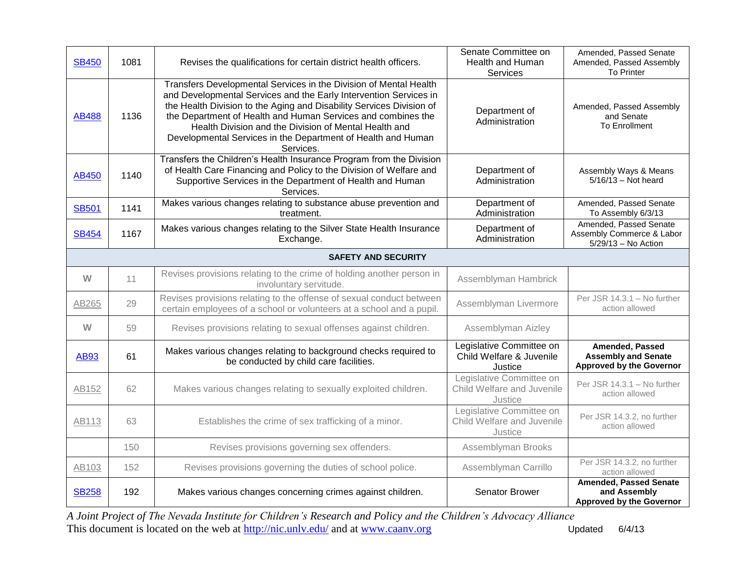| <b>SB450</b> | 1081                       | Revises the qualifications for certain district health officers.                                                                                                                                                                                                                                                                                                                                                     | Senate Committee on<br>Health and Human<br>Services               | Amended, Passed Senate<br>Amended, Passed Assembly<br><b>To Printer</b>          |  |  |
|--------------|----------------------------|----------------------------------------------------------------------------------------------------------------------------------------------------------------------------------------------------------------------------------------------------------------------------------------------------------------------------------------------------------------------------------------------------------------------|-------------------------------------------------------------------|----------------------------------------------------------------------------------|--|--|
| <b>AB488</b> | 1136                       | Transfers Developmental Services in the Division of Mental Health<br>and Developmental Services and the Early Intervention Services in<br>the Health Division to the Aging and Disability Services Division of<br>the Department of Health and Human Services and combines the<br>Health Division and the Division of Mental Health and<br>Developmental Services in the Department of Health and Human<br>Services. | Department of<br>Administration                                   | Amended, Passed Assembly<br>and Senate<br><b>To Enrollment</b>                   |  |  |
| <b>AB450</b> | 1140                       | Transfers the Children's Health Insurance Program from the Division<br>of Health Care Financing and Policy to the Division of Welfare and<br>Supportive Services in the Department of Health and Human<br>Services.                                                                                                                                                                                                  | Department of<br>Administration                                   | Assembly Ways & Means<br>$5/16/13$ - Not heard                                   |  |  |
| <b>SB501</b> | 1141                       | Makes various changes relating to substance abuse prevention and<br>treatment.                                                                                                                                                                                                                                                                                                                                       | Department of<br>Administration                                   | Amended, Passed Senate<br>To Assembly 6/3/13                                     |  |  |
| <b>SB454</b> | 1167                       | Makes various changes relating to the Silver State Health Insurance<br>Exchange.                                                                                                                                                                                                                                                                                                                                     | Department of<br>Administration                                   | Amended, Passed Senate<br>Assembly Commerce & Labor<br>5/29/13 - No Action       |  |  |
|              | <b>SAFETY AND SECURITY</b> |                                                                                                                                                                                                                                                                                                                                                                                                                      |                                                                   |                                                                                  |  |  |
| W            | 11                         | Revises provisions relating to the crime of holding another person in<br>involuntary servitude.                                                                                                                                                                                                                                                                                                                      | Assemblyman Hambrick                                              |                                                                                  |  |  |
| AB265        | 29                         | Revises provisions relating to the offense of sexual conduct between<br>certain employees of a school or volunteers at a school and a pupil.                                                                                                                                                                                                                                                                         | Assemblyman Livermore                                             | Per JSR 14.3.1 - No further<br>action allowed                                    |  |  |
| W            | 59                         | Revises provisions relating to sexual offenses against children.                                                                                                                                                                                                                                                                                                                                                     | Assemblyman Aizley                                                |                                                                                  |  |  |
| <b>AB93</b>  | 61                         | Makes various changes relating to background checks required to<br>be conducted by child care facilities.                                                                                                                                                                                                                                                                                                            | Legislative Committee on<br>Child Welfare & Juvenile<br>Justice   | Amended, Passed<br><b>Assembly and Senate</b><br><b>Approved by the Governor</b> |  |  |
| AB152        | 62                         | Makes various changes relating to sexually exploited children.                                                                                                                                                                                                                                                                                                                                                       | Legislative Committee on<br>Child Welfare and Juvenile<br>Justice | Per JSR 14.3.1 - No further<br>action allowed                                    |  |  |
| AB113        | 63                         | Establishes the crime of sex trafficking of a minor.                                                                                                                                                                                                                                                                                                                                                                 | Legislative Committee on<br>Child Welfare and Juvenile<br>Justice | Per JSR 14.3.2, no further<br>action allowed                                     |  |  |
|              | 150                        | Revises provisions governing sex offenders.                                                                                                                                                                                                                                                                                                                                                                          | Assemblyman Brooks                                                |                                                                                  |  |  |
| AB103        | 152                        | Revises provisions governing the duties of school police.                                                                                                                                                                                                                                                                                                                                                            | Assemblyman Carrillo                                              | Per JSR 14.3.2, no further<br>action allowed                                     |  |  |
| <b>SB258</b> | 192                        | Makes various changes concerning crimes against children.                                                                                                                                                                                                                                                                                                                                                            | Senator Brower                                                    | <b>Amended, Passed Senate</b><br>and Assembly<br><b>Approved by the Governor</b> |  |  |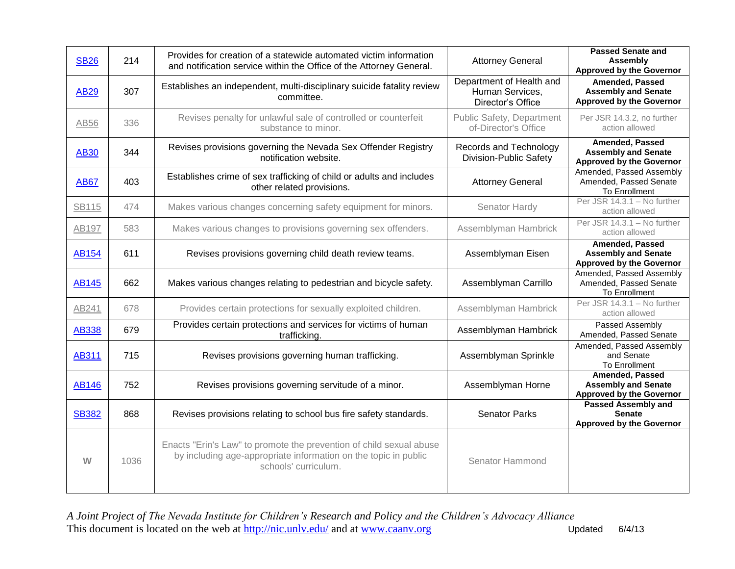| <b>SB26</b>  | 214  | Provides for creation of a statewide automated victim information<br>and notification service within the Office of the Attorney General.                       | <b>Attorney General</b>                                          | <b>Passed Senate and</b><br><b>Assembly</b><br><b>Approved by the Governor</b>          |
|--------------|------|----------------------------------------------------------------------------------------------------------------------------------------------------------------|------------------------------------------------------------------|-----------------------------------------------------------------------------------------|
| <b>AB29</b>  | 307  | Establishes an independent, multi-disciplinary suicide fatality review<br>committee.                                                                           | Department of Health and<br>Human Services,<br>Director's Office | Amended, Passed<br><b>Assembly and Senate</b><br><b>Approved by the Governor</b>        |
| AB56         | 336  | Revises penalty for unlawful sale of controlled or counterfeit<br>substance to minor.                                                                          | Public Safety, Department<br>of-Director's Office                | Per JSR 14.3.2, no further<br>action allowed                                            |
| <b>AB30</b>  | 344  | Revises provisions governing the Nevada Sex Offender Registry<br>notification website.                                                                         | Records and Technology<br>Division-Public Safety                 | <b>Amended, Passed</b><br><b>Assembly and Senate</b><br><b>Approved by the Governor</b> |
| <b>AB67</b>  | 403  | Establishes crime of sex trafficking of child or adults and includes<br>other related provisions.                                                              | <b>Attorney General</b>                                          | Amended, Passed Assembly<br>Amended, Passed Senate<br>To Enrollment                     |
| <b>SB115</b> | 474  | Makes various changes concerning safety equipment for minors.                                                                                                  | Senator Hardy                                                    | Per JSR 14.3.1 - No further<br>action allowed                                           |
| AB197        | 583  | Makes various changes to provisions governing sex offenders.                                                                                                   | Assemblyman Hambrick                                             | Per JSR 14.3.1 - No further<br>action allowed                                           |
| <b>AB154</b> | 611  | Revises provisions governing child death review teams.                                                                                                         | Assemblyman Eisen                                                | Amended, Passed<br><b>Assembly and Senate</b><br><b>Approved by the Governor</b>        |
| <b>AB145</b> | 662  | Makes various changes relating to pedestrian and bicycle safety.                                                                                               | Assemblyman Carrillo                                             | Amended, Passed Assembly<br>Amended, Passed Senate<br><b>To Enrollment</b>              |
| AB241        | 678  | Provides certain protections for sexually exploited children.                                                                                                  | Assemblyman Hambrick                                             | Per JSR 14.3.1 - No further<br>action allowed                                           |
| <b>AB338</b> | 679  | Provides certain protections and services for victims of human<br>trafficking.                                                                                 | Assemblyman Hambrick                                             | Passed Assembly<br>Amended, Passed Senate                                               |
| <b>AB311</b> | 715  | Revises provisions governing human trafficking.                                                                                                                | Assemblyman Sprinkle                                             | Amended, Passed Assembly<br>and Senate<br>To Enrollment                                 |
| <b>AB146</b> | 752  | Revises provisions governing servitude of a minor.                                                                                                             | Assemblyman Horne                                                | <b>Amended, Passed</b><br><b>Assembly and Senate</b><br><b>Approved by the Governor</b> |
| <b>SB382</b> | 868  | Revises provisions relating to school bus fire safety standards.                                                                                               | <b>Senator Parks</b>                                             | <b>Passed Assembly and</b><br><b>Senate</b><br><b>Approved by the Governor</b>          |
| W            | 1036 | Enacts "Erin's Law" to promote the prevention of child sexual abuse<br>by including age-appropriate information on the topic in public<br>schools' curriculum. | Senator Hammond                                                  |                                                                                         |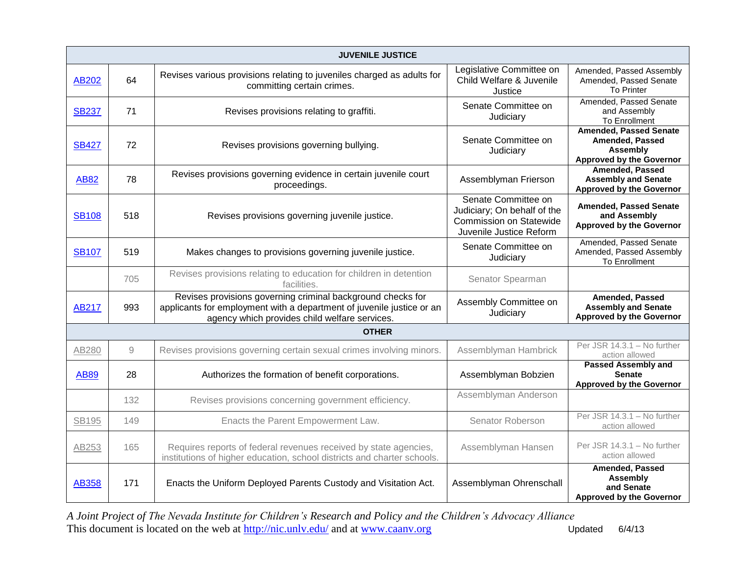| <b>JUVENILE JUSTICE</b> |              |                                                                                                                                                                                       |                                                                                                                 |                                                                                                 |  |  |  |
|-------------------------|--------------|---------------------------------------------------------------------------------------------------------------------------------------------------------------------------------------|-----------------------------------------------------------------------------------------------------------------|-------------------------------------------------------------------------------------------------|--|--|--|
| AB202                   | 64           | Revises various provisions relating to juveniles charged as adults for<br>committing certain crimes.                                                                                  | Legislative Committee on<br>Child Welfare & Juvenile<br>Justice                                                 | Amended, Passed Assembly<br>Amended, Passed Senate<br>To Printer                                |  |  |  |
| <b>SB237</b>            | 71           | Revises provisions relating to graffiti.                                                                                                                                              | Senate Committee on<br>Judiciary                                                                                | Amended, Passed Senate<br>and Assembly<br>To Enrollment                                         |  |  |  |
| <b>SB427</b>            | 72           | Revises provisions governing bullying.                                                                                                                                                | Senate Committee on<br>Judiciary                                                                                | <b>Amended, Passed Senate</b><br>Amended, Passed<br>Assembly<br><b>Approved by the Governor</b> |  |  |  |
| <b>AB82</b>             | 78           | Revises provisions governing evidence in certain juvenile court<br>proceedings.                                                                                                       | Assemblyman Frierson                                                                                            | Amended, Passed<br><b>Assembly and Senate</b><br><b>Approved by the Governor</b>                |  |  |  |
| <b>SB108</b>            | 518          | Revises provisions governing juvenile justice.                                                                                                                                        | Senate Committee on<br>Judiciary; On behalf of the<br><b>Commission on Statewide</b><br>Juvenile Justice Reform | <b>Amended, Passed Senate</b><br>and Assembly<br><b>Approved by the Governor</b>                |  |  |  |
| <b>SB107</b>            | 519          | Makes changes to provisions governing juvenile justice.                                                                                                                               | Senate Committee on<br>Judiciary                                                                                | Amended, Passed Senate<br>Amended, Passed Assembly<br><b>To Enrollment</b>                      |  |  |  |
|                         | 705          | Revises provisions relating to education for children in detention<br>facilities.                                                                                                     | Senator Spearman                                                                                                |                                                                                                 |  |  |  |
| <b>AB217</b>            | 993          | Revises provisions governing criminal background checks for<br>applicants for employment with a department of juvenile justice or an<br>agency which provides child welfare services. | Assembly Committee on<br>Judiciary                                                                              | Amended, Passed<br><b>Assembly and Senate</b><br><b>Approved by the Governor</b>                |  |  |  |
| <b>OTHER</b>            |              |                                                                                                                                                                                       |                                                                                                                 |                                                                                                 |  |  |  |
| AB280                   | $\mathcal G$ | Revises provisions governing certain sexual crimes involving minors.                                                                                                                  | Assemblyman Hambrick                                                                                            | Per JSR 14.3.1 - No further<br>action allowed                                                   |  |  |  |
| <b>AB89</b>             | 28           | Authorizes the formation of benefit corporations.                                                                                                                                     | Assemblyman Bobzien                                                                                             | <b>Passed Assembly and</b><br><b>Senate</b><br><b>Approved by the Governor</b>                  |  |  |  |
|                         | 132          | Revises provisions concerning government efficiency.                                                                                                                                  | Assemblyman Anderson                                                                                            |                                                                                                 |  |  |  |
| SB195                   | 149          | Enacts the Parent Empowerment Law.                                                                                                                                                    | Senator Roberson                                                                                                | Per JSR 14.3.1 - No further<br>action allowed                                                   |  |  |  |
| AB253                   | 165          | Requires reports of federal revenues received by state agencies,<br>institutions of higher education, school districts and charter schools.                                           | Assemblyman Hansen                                                                                              | Per JSR 14.3.1 - No further<br>action allowed                                                   |  |  |  |
| <b>AB358</b>            | 171          | Enacts the Uniform Deployed Parents Custody and Visitation Act.                                                                                                                       | Assemblyman Ohrenschall                                                                                         | <b>Amended, Passed</b><br><b>Assembly</b><br>and Senate<br><b>Approved by the Governor</b>      |  |  |  |